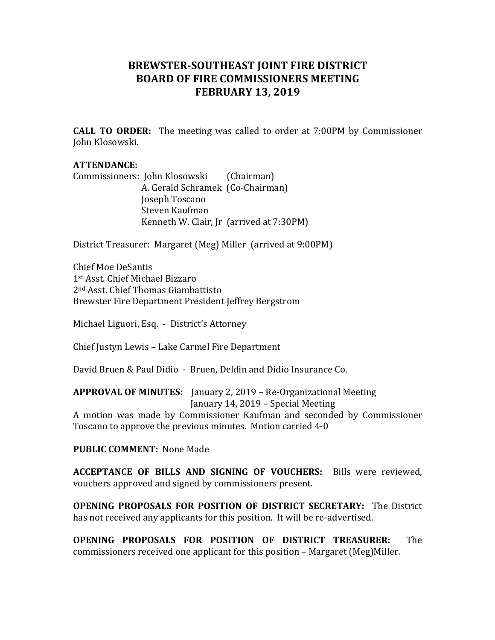## **BREWSTER-SOUTHEAST JOINT FIRE DISTRICT BOARD OF FIRE COMMISSIONERS MEETING FEBRUARY 13, 2019**

**CALL TO ORDER:** The meeting was called to order at 7:00PM by Commissioner John Klosowski.

## **ATTENDANCE:**

Commissioners: John Klosowski (Chairman) A. Gerald Schramek (Co-Chairman) Joseph Toscano Steven Kaufman Kenneth W. Clair, Jr (arrived at 7:30PM)

District Treasurer: Margaret (Meg) Miller (arrived at 9:00PM)

Chief Moe DeSantis 1st Asst. Chief Michael Bizzaro 2<sup>nd</sup> Asst. Chief Thomas Giambattisto Brewster Fire Department President Jeffrey Bergstrom

Michael Liguori, Esq. - District's Attorney

Chief Justyn Lewis - Lake Carmel Fire Department

David Bruen & Paul Didio - Bruen, Deldin and Didio Insurance Co.

**APPROVAL OF MINUTES:** January 2, 2019 – Re-Organizational Meeting January 14, 2019 - Special Meeting

A motion was made by Commissioner Kaufman and seconded by Commissioner Toscano to approve the previous minutes. Motion carried 4-0

**PUBLIC COMMENT: None Made** 

**ACCEPTANCE OF BILLS AND SIGNING OF VOUCHERS:** Bills were reviewed, vouchers approved and signed by commissioners present.

**OPENING PROPOSALS FOR POSITION OF DISTRICT SECRETARY:** The District has not received any applicants for this position. It will be re-advertised.

**OPENING PROPOSALS FOR POSITION OF DISTRICT TREASURER:** The commissioners received one applicant for this position – Margaret (Meg)Miller.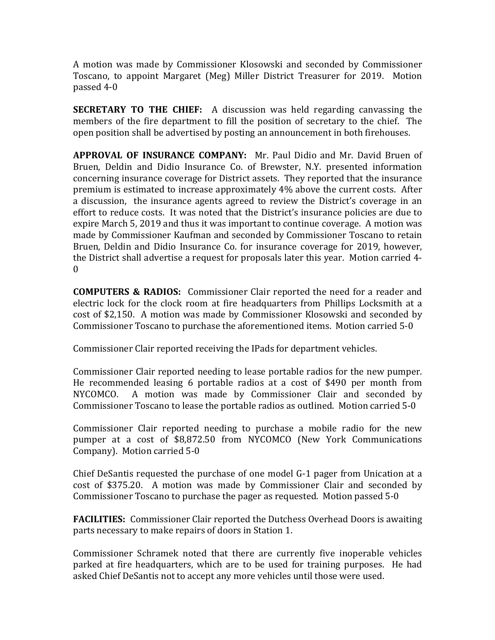A motion was made by Commissioner Klosowski and seconded by Commissioner Toscano, to appoint Margaret (Meg) Miller District Treasurer for 2019. Motion passed 4-0 

**SECRETARY TO THE CHIEF:** A discussion was held regarding canvassing the members of the fire department to fill the position of secretary to the chief. The open position shall be advertised by posting an announcement in both firehouses.

**APPROVAL OF INSURANCE COMPANY:** Mr. Paul Didio and Mr. David Bruen of Bruen, Deldin and Didio Insurance Co. of Brewster, N.Y. presented information concerning insurance coverage for District assets. They reported that the insurance premium is estimated to increase approximately 4% above the current costs. After a discussion, the insurance agents agreed to review the District's coverage in an effort to reduce costs. It was noted that the District's insurance policies are due to expire March 5, 2019 and thus it was important to continue coverage. A motion was made by Commissioner Kaufman and seconded by Commissioner Toscano to retain Bruen, Deldin and Didio Insurance Co. for insurance coverage for 2019, however, the District shall advertise a request for proposals later this year. Motion carried 4- $\Omega$ 

**COMPUTERS & RADIOS:** Commissioner Clair reported the need for a reader and electric lock for the clock room at fire headquarters from Phillips Locksmith at a cost of \$2,150. A motion was made by Commissioner Klosowski and seconded by Commissioner Toscano to purchase the aforementioned items. Motion carried 5-0

Commissioner Clair reported receiving the IPads for department vehicles.

Commissioner Clair reported needing to lease portable radios for the new pumper. He recommended leasing 6 portable radios at a cost of \$490 per month from NYCOMCO. A motion was made by Commissioner Clair and seconded by Commissioner Toscano to lease the portable radios as outlined. Motion carried 5-0

Commissioner Clair reported needing to purchase a mobile radio for the new pumper at a cost of \$8,872.50 from NYCOMCO (New York Communications Company). Motion carried 5-0

Chief DeSantis requested the purchase of one model  $G-1$  pager from Unication at a cost of \$375.20. A motion was made by Commissioner Clair and seconded by Commissioner Toscano to purchase the pager as requested. Motion passed 5-0

**FACILITIES:** Commissioner Clair reported the Dutchess Overhead Doors is awaiting parts necessary to make repairs of doors in Station 1.

Commissioner Schramek noted that there are currently five inoperable vehicles parked at fire headquarters, which are to be used for training purposes. He had asked Chief DeSantis not to accept any more vehicles until those were used.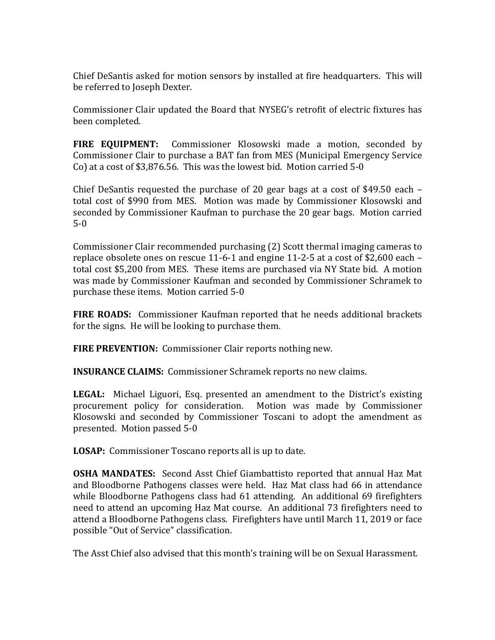Chief DeSantis asked for motion sensors by installed at fire headquarters. This will be referred to Joseph Dexter.

Commissioner Clair updated the Board that NYSEG's retrofit of electric fixtures has been completed.

**FIRE EQUIPMENT:** Commissioner Klosowski made a motion, seconded by Commissioner Clair to purchase a BAT fan from MES (Municipal Emergency Service Co) at a cost of \$3,876.56. This was the lowest bid. Motion carried 5-0

Chief DeSantis requested the purchase of 20 gear bags at a cost of \$49.50 each  $$ total cost of \$990 from MES. Motion was made by Commissioner Klosowski and seconded by Commissioner Kaufman to purchase the 20 gear bags. Motion carried 5-0

Commissioner Clair recommended purchasing (2) Scott thermal imaging cameras to replace obsolete ones on rescue 11-6-1 and engine 11-2-5 at a cost of \$2,600 each – total cost \$5,200 from MES. These items are purchased via NY State bid. A motion was made by Commissioner Kaufman and seconded by Commissioner Schramek to purchase these items. Motion carried 5-0

**FIRE ROADS:** Commissioner Kaufman reported that he needs additional brackets for the signs. He will be looking to purchase them.

**FIRE PREVENTION:** Commissioner Clair reports nothing new.

**INSURANCE CLAIMS:** Commissioner Schramek reports no new claims.

LEGAL: Michael Liguori, Esq. presented an amendment to the District's existing procurement policy for consideration. Motion was made by Commissioner Klosowski and seconded by Commissioner Toscani to adopt the amendment as presented. Motion passed 5-0

**LOSAP:** Commissioner Toscano reports all is up to date.

**OSHA MANDATES:** Second Asst Chief Giambattisto reported that annual Haz Mat and Bloodborne Pathogens classes were held. Haz Mat class had 66 in attendance while Bloodborne Pathogens class had 61 attending. An additional 69 firefighters need to attend an upcoming Haz Mat course. An additional 73 firefighters need to attend a Bloodborne Pathogens class. Firefighters have until March 11, 2019 or face possible "Out of Service" classification.

The Asst Chief also advised that this month's training will be on Sexual Harassment.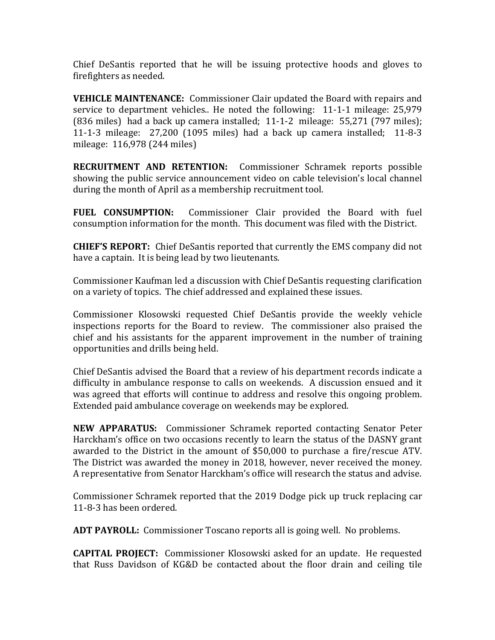Chief DeSantis reported that he will be issuing protective hoods and gloves to firefighters as needed.

**VEHICLE MAINTENANCE:** Commissioner Clair updated the Board with repairs and service to department vehicles.. He noted the following: 11-1-1 mileage: 25,979 (836 miles) had a back up camera installed;  $11-1-2$  mileage: 55,271 (797 miles); 11-1-3 mileage:  $27,200$  (1095 miles) had a back up camera installed; 11-8-3 mileage: 116,978 (244 miles)

**RECRUITMENT AND RETENTION:** Commissioner Schramek reports possible showing the public service announcement video on cable television's local channel during the month of April as a membership recruitment tool.

**FUEL CONSUMPTION:** Commissioner Clair provided the Board with fuel consumption information for the month. This document was filed with the District.

**CHIEF'S REPORT:** Chief DeSantis reported that currently the EMS company did not have a captain. It is being lead by two lieutenants.

Commissioner Kaufman led a discussion with Chief DeSantis requesting clarification on a variety of topics. The chief addressed and explained these issues.

Commissioner Klosowski requested Chief DeSantis provide the weekly vehicle inspections reports for the Board to review. The commissioner also praised the chief and his assistants for the apparent improvement in the number of training opportunities and drills being held.

Chief DeSantis advised the Board that a review of his department records indicate a difficulty in ambulance response to calls on weekends. A discussion ensued and it was agreed that efforts will continue to address and resolve this ongoing problem. Extended paid ambulance coverage on weekends may be explored.

**NEW APPARATUS:** Commissioner Schramek reported contacting Senator Peter Harckham's office on two occasions recently to learn the status of the DASNY grant awarded to the District in the amount of \$50,000 to purchase a fire/rescue ATV. The District was awarded the money in 2018, however, never received the money. A representative from Senator Harckham's office will research the status and advise.

Commissioner Schramek reported that the 2019 Dodge pick up truck replacing car 11-8-3 has been ordered.

**ADT PAYROLL:** Commissioner Toscano reports all is going well. No problems.

**CAPITAL PROJECT:** Commissioner Klosowski asked for an update. He requested that Russ Davidson of KG&D be contacted about the floor drain and ceiling tile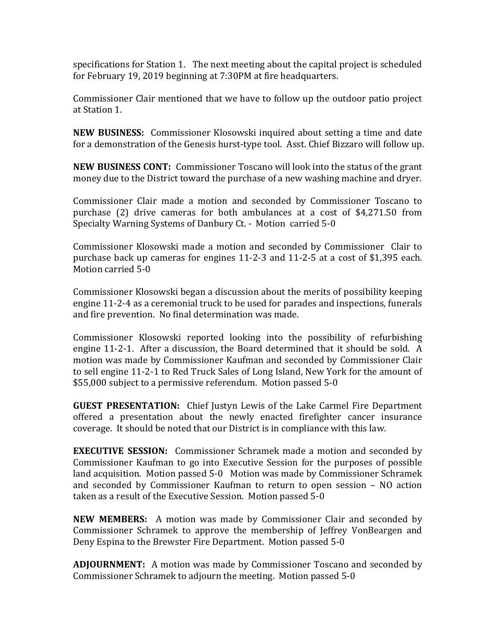specifications for Station 1. The next meeting about the capital project is scheduled for February 19, 2019 beginning at 7:30PM at fire headquarters.

Commissioner Clair mentioned that we have to follow up the outdoor patio project at Station 1.

**NEW BUSINESS:** Commissioner Klosowski inquired about setting a time and date for a demonstration of the Genesis hurst-type tool. Asst. Chief Bizzaro will follow up.

**NEW BUSINESS CONT:** Commissioner Toscano will look into the status of the grant money due to the District toward the purchase of a new washing machine and dryer.

Commissioner Clair made a motion and seconded by Commissioner Toscano to purchase  $(2)$  drive cameras for both ambulances at a cost of \$4,271.50 from Specialty Warning Systems of Danbury Ct. - Motion carried 5-0

Commissioner Klosowski made a motion and seconded by Commissioner Clair to purchase back up cameras for engines  $11-2-3$  and  $11-2-5$  at a cost of \$1,395 each. Motion carried 5-0

Commissioner Klosowski began a discussion about the merits of possibility keeping engine 11-2-4 as a ceremonial truck to be used for parades and inspections, funerals and fire prevention. No final determination was made.

Commissioner Klosowski reported looking into the possibility of refurbishing engine 11-2-1. After a discussion, the Board determined that it should be sold. A motion was made by Commissioner Kaufman and seconded by Commissioner Clair to sell engine 11-2-1 to Red Truck Sales of Long Island, New York for the amount of \$55,000 subject to a permissive referendum. Motion passed 5-0

**GUEST PRESENTATION:** Chief Justyn Lewis of the Lake Carmel Fire Department offered a presentation about the newly enacted firefighter cancer insurance coverage. It should be noted that our District is in compliance with this law.

**EXECUTIVE SESSION:** Commissioner Schramek made a motion and seconded by Commissioner Kaufman to go into Executive Session for the purposes of possible land acquisition. Motion passed 5-0 Motion was made by Commissioner Schramek and seconded by Commissioner Kaufman to return to open session  $-$  NO action taken as a result of the Executive Session. Motion passed 5-0

**NEW MEMBERS:** A motion was made by Commissioner Clair and seconded by Commissioner Schramek to approve the membership of Jeffrey VonBeargen and Deny Espina to the Brewster Fire Department. Motion passed 5-0

**ADJOURNMENT:** A motion was made by Commissioner Toscano and seconded by Commissioner Schramek to adjourn the meeting. Motion passed 5-0